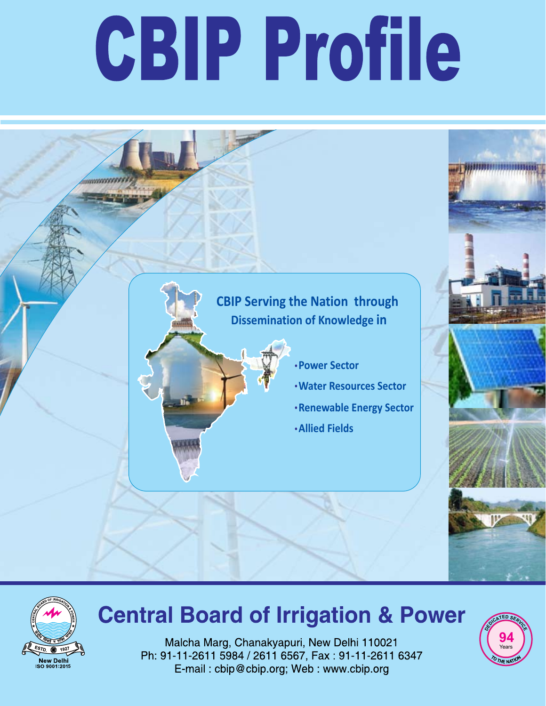# CBIP Profile





## **Central Board of Irrigation & Power**

Malcha Marg, Chanakyapuri, New Delhi 110021 Ph: 91-11-2611 5984 / 2611 6567, Fax: 91-11-2611 6347 E-mail: cbip@cbip.org; Web: www.cbip.org

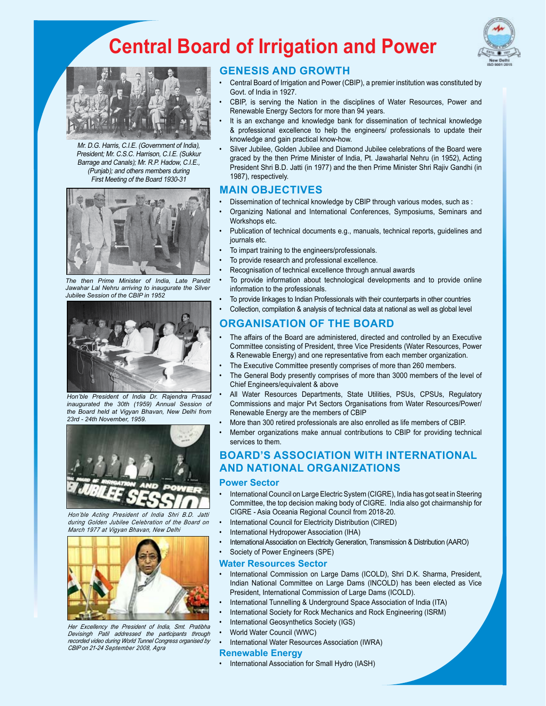## **Central Board of Irrigation and Power**





Mr. D.G. Harris, C.I.E. (Government of India), President; Mr. C.S.C. Harrison, C.I.E. (Sukkur Barrage and Canals); Mr. R.P. Hadow, C.I.E., (Punjab); and others members during First Meeting of the Board 1930-31



*The then Prime Minister of India, Late Pandit Jawahar Lal Nehru arriving to inaugurate the Silver Jubilee Session of the CBIP in 1952*



*Hon'ble President of India Dr. Rajendra Prasad inaugurated the 30th (1959) Annual Session of the Board held at Vigyan Bhavan, New Delhi from 23rd - 24th November, 1959.* 



*Hon'ble Acting President of India Shri B.D. Jatti during Golden Jubilee Celebration of the Board on March 1977 at Vigyan Bhavan, New Delhi*



*Her Excellency the President of India, Smt. Pratibha Devisingh Patil addressed the participants through recorded video during World Tunnel Congress organised by CBIP on 21-24 September 2008, Agra*

#### **GENESIS AND GROWTH**

- Central Board of Irrigation and Power (CBIP), a premier institution was constituted by Govt. of India in 1927.
- CBIP. is serving the Nation in the disciplines of Water Resources, Power and Renewable Energy Sectors for more than 94 years.
- It is an exchange and knowledge bank for dissemination of technical knowledge & professional excellence to help the engineers/ professionals to update their knowledge and gain practical know-how.
- Silver Jubilee, Golden Jubilee and Diamond Jubilee celebrations of the Board were graced by the then Prime Minister of India, Pt. Jawaharlal Nehru (in 1952), Acting President Shri B.D. Jatti (in 1977) and the then Prime Minister Shri Rajiv Gandhi (in 1987), respectively.

#### **MAIN OBJECTIVES**

- Dissemination of technical knowledge by CBIP through various modes, such as :
- Organizing National and International Conferences, Symposiums, Seminars and Workshops etc.
- Publication of technical documents e.g., manuals, technical reports, guidelines and journals etc.
- To impart training to the engineers/professionals.
- To provide research and professional excellence.
- Recognisation of technical excellence through annual awards
- To provide information about technological developments and to provide online information to the professionals.
- To provide linkages to Indian Professionals with their counterparts in other countries
- Collection, compilation & analysis of technical data at national as well as global level

#### **ORGANISATION OF THE BOARD**

- The affairs of the Board are administered, directed and controlled by an Executive Committee consisting of President, three Vice Presidents (Water Resources, Power & Renewable Energy) and one representative from each member organization.
- The Executive Committee presently comprises of more than 260 members.
- The General Body presently comprises of more than 3000 members of the level of Chief Engineers/equivalent & above
- All Water Resources Departments, State Utilities, PSUs, CPSUs, Regulatory Commissions and major Pvt Sectors Organisations from Water Resources/Power/ Renewable Energy are the members of CBIP
- More than 300 retired professionals are also enrolled as life members of CBIP.
- Member organizations make annual contributions to CBIP for providing technical services to them.

#### **BOARD'S ASSOCIATION WITH INTERNATIONAL AND NATIONAL ORGANIZATIONS**

#### **Power Sector**

- International Council on Large Electric System (CIGRE), India has got seat in Steering Committee, the top decision making body of CIGRE. India also got chairmanship for CIGRE - Asia Oceania Regional Council from 2018-20.
- International Council for Electricity Distribution (CIRED)
- International Hydropower Association (IHA)
- International Association on Electricity Generation, Transmission & Distribution (AARO)
- Society of Power Engineers (SPE)

#### **Water Resources Sector**

- International Commission on Large Dams (ICOLD), Shri D.K. Sharma, President, Indian National Committee on Large Dams (INCOLD) has been elected as Vice President, International Commission of Large Dams (ICOLD).
- International Tunnelling & Underground Space Association of India (ITA)
- International Society for Rock Mechanics and Rock Engineering (ISRM)
- International Geosynthetics Society (IGS)
- World Water Council (WWC)
- International Water Resources Association (IWRA)

#### **Renewable Energy**

• International Association for Small Hydro (IASH)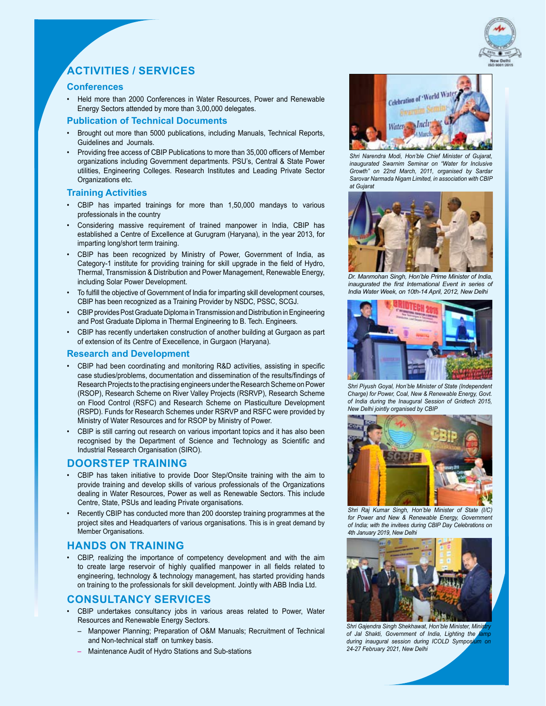

### **ACTIVITIES / SERVICES**

#### **Conferences**

Held more than 2000 Conferences in Water Resources, Power and Renewable Energy Sectors attended by more than 3,00,000 delegates.

#### **Publication of Technical Documents**

- Brought out more than 5000 publications, including Manuals, Technical Reports, Guidelines and Journals.
- Providing free access of CBIP Publications to more than 35,000 officers of Member organizations including Government departments. PSU's, Central & State Power utilities, Engineering Colleges. Research Institutes and Leading Private Sector Organizations etc.

#### **Training Activities**

- • CBIP has imparted trainings for more than 1,50,000 mandays to various professionals in the country
- Considering massive requirement of trained manpower in India, CBIP has established a Centre of Excellence at Gurugram (Haryana), in the year 2013, for imparting long/short term training.
- CBIP has been recognized by Ministry of Power, Government of India, as Category-1 institute for providing training for skill upgrade in the field of Hydro, Thermal, Transmission & Distribution and Power Management, Renewable Energy, including Solar Power Development.
- To fulfill the objective of Government of India for imparting skill development courses, CBIP has been recognized as a Training Provider by NSDC, PSSC, SCGJ.
- • CBIPprovidesPostGraduate Diploma inTransmission and Distribution inEngineering and Post Graduate Diploma in Thermal Engineering to B. Tech. Engineers.
- CBIP has recently undertaken construction of another building at Gurgaon as part of extension of its Centre of Execellence, in Gurgaon (Haryana).

#### **Research and Development**

- CBIP had been coordinating and monitoring R&D activities, assisting in specific case studies/problems, documentation and dissemination of the results/findings of Research Projects to the practising engineers under the Research Scheme on Power (RSOP), Research Scheme on River Valley Projects (RSRVP), Research Scheme on Flood Control (RSFC) and Research Scheme on Plasticulture Development (RSPD). Funds for Research Schemes under RSRVP and RSFC were provided by Ministry of Water Resources and for RSOP by Ministry of Power.
- CBIP is still carring out research on various important topics and it has also been recognised by the Department of Science and Technology as Scientific and Industrial Research Organisation (SIRO).

#### **Doorstep Training**

- CBIP has taken initiative to provide Door Step/Onsite training with the aim to provide training and develop skills of various professionals of the Organizations dealing in Water Resources, Power as well as Renewable Sectors. This include Centre, State, PSUs and leading Private organisations.
- Recently CBIP has conducted more than 200 doorstep training programmes at the project sites and Headquarters of various organisations. This is in great demand by Member Organisations.

#### **Hands on Training**

• CBIP, realizing the importance of competency development and with the aim to create large reservoir of highly qualified manpower in all fields related to engineering, technology & technology management, has started providing hands on training to the professionals for skill development. Jointly with ABB India Ltd.

#### **CONSULTANCY SERVICES**

- CBIP undertakes consultancy jobs in various areas related to Power, Water Resources and Renewable Energy Sectors.
	- Manpower Planning; Preparation of O&M Manuals; Recruitment of Technical and Non-technical staff on turnkey basis.
	- Maintenance Audit of Hydro Stations and Sub-stations



*Shri Narendra Modi, Hon'ble Chief Minister of Gujarat, inaugurated Swarnim Seminar on "Water for Inclusive Growth" on 22nd March, 2011, organised by Sardar Sarovar Narmada Nigam Limited, in association with CBIP at Gujarat*



*Dr. Manmohan Singh, Hon'ble Prime Minister of India, inaugurated the first International Event in series of India Water Week, on 10th-14 April, 2012, New Delhi*



*Shri Piyush Goyal, Hon'ble Minister of State (Independent Charge) for Power, Coal, New & Renewable Energy, Govt. of India during the Inaugural Session of Gridtech 2015, New Delhi jointly organised by CBIP*



Shri Raj Kumar Singh, Hon'ble Minister of State (I/C) for Power and New & Renewable Energy, Government of India*; with the invitees during CBIP Day Celebrations on 4th January 2019, New Delhi*



Shri Gajendra Singh Shekhawat, Hon'ble Minister, Minis of Jal Shakti, Government of India, Lighting the during inaugural session during ICOLD Symposit *24-27 February 2021, New Delhi*

3